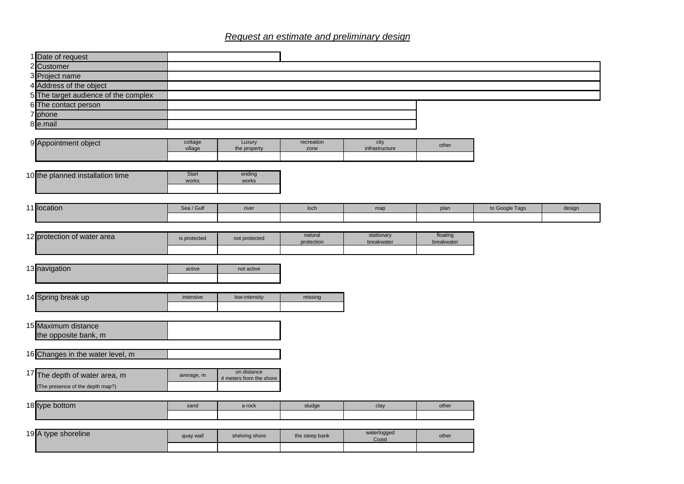## *Request an estimate and preliminary design*

|                | Date of request                      |                       |                                        |                |                      |            |                |        |
|----------------|--------------------------------------|-----------------------|----------------------------------------|----------------|----------------------|------------|----------------|--------|
|                | 2 Customer                           |                       |                                        |                |                      |            |                |        |
|                | 3 Project name                       |                       |                                        |                |                      |            |                |        |
|                | 4 Address of the object              |                       |                                        |                |                      |            |                |        |
|                | 5 The target audience of the complex |                       |                                        |                |                      |            |                |        |
|                | 6 The contact person                 |                       |                                        |                |                      |            |                |        |
| $\overline{7}$ | phone                                |                       |                                        |                |                      |            |                |        |
|                | 8 e.mail                             |                       |                                        |                |                      |            |                |        |
|                |                                      | cottage               | Luxury                                 | recreation     | city                 |            |                |        |
|                | 9 Appointment object                 | village               | the property                           | zone           | infrastructure       | other      |                |        |
|                |                                      |                       |                                        |                |                      |            |                |        |
|                |                                      |                       |                                        |                |                      |            |                |        |
|                | 10 the planned installation time     | <b>Start</b><br>works | ending<br>works                        |                |                      |            |                |        |
|                |                                      |                       |                                        |                |                      |            |                |        |
|                |                                      |                       |                                        |                |                      |            |                |        |
|                | 11 location                          | Sea / Gulf            | river                                  | loch           | map                  | plan       | to Google Tags | design |
|                |                                      |                       |                                        |                |                      |            |                |        |
|                |                                      |                       |                                        | natural        | stationary           | floating   |                |        |
|                | 12 protection of water area          | is protected          | not protected                          | protection     | breakwater           | breakwater |                |        |
|                |                                      |                       |                                        |                |                      |            |                |        |
|                |                                      |                       |                                        |                |                      |            |                |        |
|                | 13 navigation                        | active                | not active                             |                |                      |            |                |        |
|                |                                      |                       |                                        |                |                      |            |                |        |
|                |                                      |                       |                                        |                |                      |            |                |        |
|                | 14 Spring break up                   | intensive             | low-intensity                          | missing        |                      |            |                |        |
|                |                                      |                       |                                        |                |                      |            |                |        |
|                | 15 Maximum distance                  |                       |                                        |                |                      |            |                |        |
|                | the opposite bank, m                 |                       |                                        |                |                      |            |                |        |
|                |                                      |                       |                                        |                |                      |            |                |        |
|                | 16 Changes in the water level, m     |                       |                                        |                |                      |            |                |        |
|                |                                      |                       |                                        |                |                      |            |                |        |
|                | 17 The depth of water area, m        | average, m            | on distance<br>4 meters from the shore |                |                      |            |                |        |
|                | (The presence of the depth map?)     |                       |                                        |                |                      |            |                |        |
|                |                                      |                       |                                        |                |                      |            |                |        |
|                | 18 type bottom                       | sand                  | a rock                                 | sludge         | clay                 | other      |                |        |
|                |                                      |                       |                                        |                |                      |            |                |        |
|                |                                      |                       |                                        |                |                      |            |                |        |
|                | 19 A type shoreline                  | quay wall             | shelving shore                         | the steep bank | waterlogged<br>Coast | other      |                |        |
|                |                                      |                       |                                        |                |                      |            |                |        |
|                |                                      |                       |                                        |                |                      |            |                |        |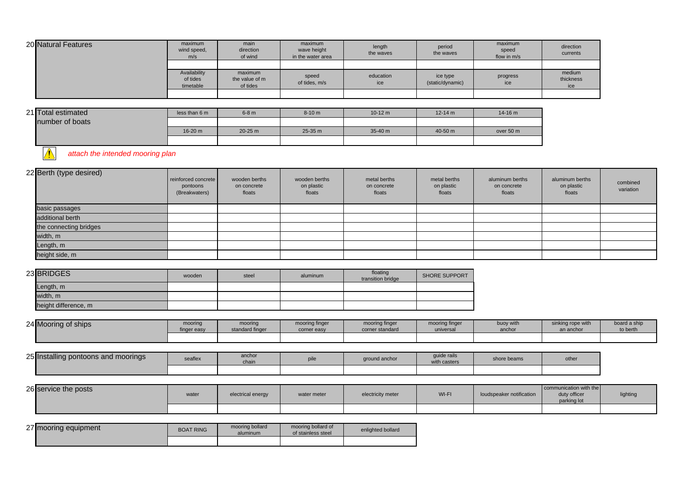| 20 Natural Features | maximum<br>wind speed,<br>m/s         | main<br>direction<br>of wind          | maximum<br>wave height<br>in the water area | length<br>the waves | period<br>the waves          | maximum<br>speed<br>flow in m/s | direction<br>currents      |
|---------------------|---------------------------------------|---------------------------------------|---------------------------------------------|---------------------|------------------------------|---------------------------------|----------------------------|
|                     |                                       |                                       |                                             |                     |                              |                                 |                            |
|                     | Availability<br>of tides<br>timetable | maximum<br>the value of m<br>of tides | speed<br>of tides, m/s                      | education<br>ice    | ice type<br>(static/dynamic) | progress<br>ice                 | medium<br>thickness<br>ice |
|                     |                                       |                                       |                                             |                     |                              |                                 |                            |

| 21 Total estimated | less than 6 m | $6-8$ m   | $8 - 10 m$ | $10-12 \text{ m}$ | $12 - 14$ m | $14 - 16$ m |
|--------------------|---------------|-----------|------------|-------------------|-------------|-------------|
| number of boats    |               |           |            |                   |             |             |
|                    | 16-20 m       | $20-25$ m | $25-35$ m  | $35-40 m$         | $40 - 50$ m | over 50 m   |
|                    |               |           |            |                   |             |             |

**1** attach the intended mooring plan

| 22 Berth (type desired) | reinforced concrete<br>pontoons<br>(Breakwaters) | wooden berths<br>on concrete<br>floats | wooden berths<br>on plastic<br>floats | metal berths<br>on concrete<br>floats | metal berths<br>on plastic<br>floats | aluminum berths<br>on concrete<br>floats | aluminum berths<br>on plastic<br>floats | combined<br>variation |
|-------------------------|--------------------------------------------------|----------------------------------------|---------------------------------------|---------------------------------------|--------------------------------------|------------------------------------------|-----------------------------------------|-----------------------|
| basic passages          |                                                  |                                        |                                       |                                       |                                      |                                          |                                         |                       |
| additional berth        |                                                  |                                        |                                       |                                       |                                      |                                          |                                         |                       |
| the connecting bridges  |                                                  |                                        |                                       |                                       |                                      |                                          |                                         |                       |
| width, m                |                                                  |                                        |                                       |                                       |                                      |                                          |                                         |                       |
| Length, m               |                                                  |                                        |                                       |                                       |                                      |                                          |                                         |                       |
| height side, m          |                                                  |                                        |                                       |                                       |                                      |                                          |                                         |                       |

| 23 BRIDGES           | wooden | steel | aluminum | floating<br>transition bridge | <b>SHORE SUPPORT</b> |
|----------------------|--------|-------|----------|-------------------------------|----------------------|
| Length, m            |        |       |          |                               |                      |
| width, m             |        |       |          |                               |                      |
| height difference, m |        |       |          |                               |                      |

| 24 Mooring of ships | mooring     | mooring         | mooring finger | mooring finger  | mooring finger | buoy with | sinking rope with | board a ship |
|---------------------|-------------|-----------------|----------------|-----------------|----------------|-----------|-------------------|--------------|
|                     | finger easy | standard finger | corner easy    | corner standard | universal      | anchor    | an anchor         | to berth     |
|                     |             |                 |                |                 |                |           |                   |              |

| 25 Installing pontoons and moorings | seaflex | anchor<br>chain | pile | ground anchor | guide rails<br>with casters | shore beams | other |
|-------------------------------------|---------|-----------------|------|---------------|-----------------------------|-------------|-------|
|                                     |         |                 |      |               |                             |             |       |

| 26 service the posts | water | electrical energy | water meter | electricity meter | WI-FI | loudspeaker notification | communication with the<br>duty officer<br>parking lot | lightinc |
|----------------------|-------|-------------------|-------------|-------------------|-------|--------------------------|-------------------------------------------------------|----------|
|                      |       |                   |             |                   |       |                          |                                                       |          |

| 27 mooring equipment | <b>BOAT RING</b> | mooring bollard<br>aluminum | mooring bollard of<br>of stainless steel | enlighted bollard |
|----------------------|------------------|-----------------------------|------------------------------------------|-------------------|
|                      |                  |                             |                                          |                   |